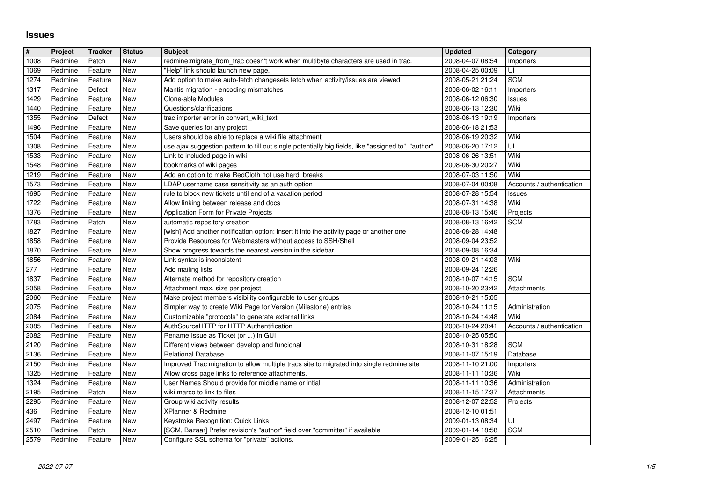## **Issues**

| $\vert$ #    | Project | <b>Tracker</b> | <b>Status</b> | <b>Subject</b>                                                                                                              | <b>Updated</b>                       | Category                  |
|--------------|---------|----------------|---------------|-----------------------------------------------------------------------------------------------------------------------------|--------------------------------------|---------------------------|
| 1008         | Redmine | Patch          | New           | redmine:migrate_from_trac doesn't work when multibyte characters are used in trac.                                          | 2008-04-07 08:54                     | Importers                 |
| 1069         | Redmine | Feature        | New           | "Help" link should launch new page.                                                                                         | 2008-04-25 00:09                     | UI                        |
| 1274         | Redmine | Feature        | New           | Add option to make auto-fetch changesets fetch when activity/issues are viewed                                              | 2008-05-21 21:24                     | <b>SCM</b>                |
| 1317         | Redmine | Defect         | New           | Mantis migration - encoding mismatches                                                                                      | 2008-06-02 16:11                     | Importers                 |
| 1429         | Redmine | Feature        | New           | Clone-able Modules                                                                                                          | 2008-06-12 06:30                     | Issues                    |
| 1440         | Redmine | Feature        | New           | Questions/clarifications                                                                                                    | 2008-06-13 12:30                     | Wiki                      |
| 1355         | Redmine | Defect         | New           | trac importer error in convert_wiki_text                                                                                    | 2008-06-13 19:19                     | Importers                 |
| 1496         | Redmine | Feature        | New           | Save queries for any project                                                                                                | 2008-06-18 21:53                     |                           |
| 1504         | Redmine | Feature        | New           | Users should be able to replace a wiki file attachment                                                                      | 2008-06-19 20:32                     | Wiki                      |
| 1308         | Redmine | Feature        | New           | use ajax suggestion pattern to fill out single potentially big fields, like "assigned to", "author"                         | 2008-06-20 17:12                     | UI                        |
| 1533         | Redmine | Feature        | New           | Link to included page in wiki                                                                                               | 2008-06-26 13:51                     | Wiki                      |
| 1548         | Redmine | Feature        | New           | bookmarks of wiki pages                                                                                                     | 2008-06-30 20:27                     | Wiki                      |
| 1219         | Redmine | Feature        | New           | Add an option to make RedCloth not use hard_breaks                                                                          | 2008-07-03 11:50                     | Wiki                      |
| 1573         | Redmine | Feature        | New           | LDAP username case sensitivity as an auth option                                                                            | 2008-07-04 00:08                     | Accounts / authentication |
| 1695         | Redmine | Feature        | New           | rule to block new tickets until end of a vacation period                                                                    | 2008-07-28 15:54                     | Issues                    |
| 1722         | Redmine | Feature        | New           | Allow linking between release and docs                                                                                      | 2008-07-31 14:38                     | Wiki                      |
| 1376         | Redmine | Feature        | New           | Application Form for Private Projects                                                                                       | 2008-08-13 15:46                     | Projects                  |
| 1783         | Redmine | Patch          | New           | automatic repository creation                                                                                               | 2008-08-13 16:42                     | <b>SCM</b>                |
| 1827         | Redmine | Feature        | New           | [wish] Add another notification option: insert it into the activity page or another one                                     | 2008-08-28 14:48                     |                           |
| 1858         | Redmine | Feature        | New           | Provide Resources for Webmasters without access to SSH/Shell                                                                | 2008-09-04 23:52                     |                           |
| 1870         | Redmine | Feature        | New           | Show progress towards the nearest version in the sidebar                                                                    | 2008-09-08 16:34                     |                           |
| 1856         | Redmine | Feature        | New           | Link syntax is inconsistent                                                                                                 | 2008-09-21 14:03                     | Wiki                      |
| 277          | Redmine | Feature        | New           | Add mailing lists                                                                                                           | 2008-09-24 12:26                     |                           |
| 1837         | Redmine | Feature        | New           | Alternate method for repository creation                                                                                    | 2008-10-07 14:15                     | <b>SCM</b>                |
| 2058         | Redmine | Feature        | New           | Attachment max. size per project                                                                                            | 2008-10-20 23:42                     | Attachments               |
| 2060         | Redmine | Feature        | New           | Make project members visibility configurable to user groups                                                                 | 2008-10-21 15:05                     |                           |
| 2075         | Redmine | Feature        | New           | Simpler way to create Wiki Page for Version (Milestone) entries                                                             | 2008-10-24 11:15                     | Administration            |
| 2084         | Redmine | Feature        | New           | Customizable "protocols" to generate external links                                                                         | 2008-10-24 14:48                     | Wiki                      |
| 2085         | Redmine | Feature        | <b>New</b>    | AuthSourceHTTP for HTTP Authentification                                                                                    | 2008-10-24 20:41                     | Accounts / authentication |
| 2082         | Redmine | Feature        | New           | Rename Issue as Ticket (or ) in GUI                                                                                         | 2008-10-25 05:50                     |                           |
| 2120         | Redmine | Feature        | New           | Different views between develop and funcional                                                                               | 2008-10-31 18:28                     | <b>SCM</b>                |
| 2136         | Redmine | Feature        | New           | <b>Relational Database</b>                                                                                                  | 2008-11-07 15:19                     | Database                  |
| 2150         | Redmine | Feature        | New           | Improved Trac migration to allow multiple tracs site to migrated into single redmine site                                   | 2008-11-10 21:00                     | Importers                 |
| 1325         | Redmine | Feature        | New           | Allow cross page links to reference attachments.                                                                            | 2008-11-11 10:36                     | Wiki                      |
| 1324         | Redmine | Feature        | <b>New</b>    | User Names Should provide for middle name or intial                                                                         | 2008-11-11 10:36                     | Administration            |
| 2195         | Redmine | Patch          | New           | wiki marco to link to files                                                                                                 | 2008-11-15 17:37                     | Attachments               |
| 2295         | Redmine | Feature        | New           | Group wiki activity results                                                                                                 | 2008-12-07 22:52                     | Projects                  |
| 436          | Redmine | Feature        | New           | XPlanner & Redmine                                                                                                          | 2008-12-10 01:51                     |                           |
| 2497         | Redmine | Feature        | New           | Keystroke Recognition: Quick Links                                                                                          | 2009-01-13 08:34                     | U                         |
| 2510<br>2579 | Redmine | Patch          | New<br>New    | [SCM, Bazaar] Prefer revision's "author" field over "committer" if available<br>Configure SSL schema for "private" actions. | 2009-01-14 18:58<br>2009-01-25 16:25 | <b>SCM</b>                |
|              |         |                |               |                                                                                                                             |                                      |                           |
|              |         |                |               |                                                                                                                             |                                      |                           |
|              |         |                |               |                                                                                                                             |                                      |                           |
|              |         |                |               |                                                                                                                             |                                      |                           |
|              |         |                |               |                                                                                                                             |                                      |                           |
|              |         |                |               |                                                                                                                             |                                      |                           |
|              |         |                |               |                                                                                                                             |                                      |                           |
|              |         |                |               |                                                                                                                             |                                      |                           |
|              |         |                |               |                                                                                                                             |                                      |                           |
|              |         |                |               |                                                                                                                             |                                      |                           |
|              |         |                |               |                                                                                                                             |                                      |                           |
|              |         |                |               |                                                                                                                             |                                      |                           |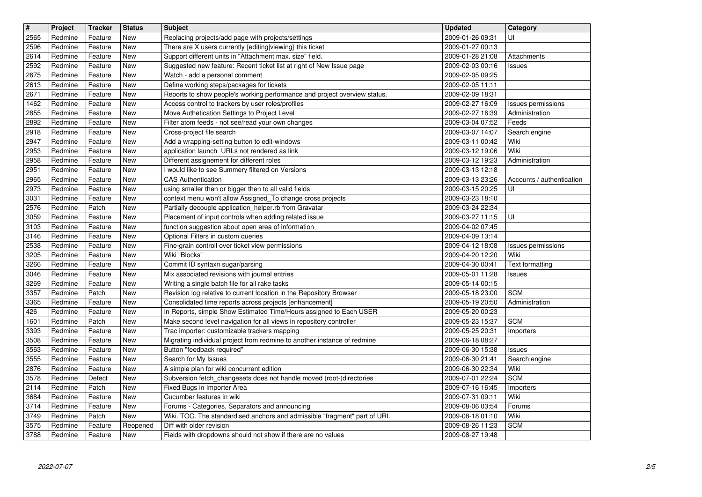| 2565<br>Redmine<br>Feature<br><b>New</b><br>Replacing projects/add page with projects/settings<br>2009-01-26 09:31<br>UI<br>2009-01-27 00:13<br>2596<br>Redmine<br>Feature<br>New<br>There are X users currently {editing viewing} this ticket<br>2614<br>Support different units in "Attachment max. size" field.<br>2009-01-28 21:08<br>Redmine<br>Feature<br>New<br>Attachments<br>2009-02-03 00:16<br>2592<br>Redmine<br>Feature<br>New<br>Suggested new feature: Recent ticket list at right of New Issue page<br>Issues<br>2675<br>Watch - add a personal comment<br>Redmine<br>Feature<br>New<br>2009-02-05 09:25<br>Define working steps/packages for tickets<br>2613<br>Redmine<br>Feature<br>New<br>2009-02-05 11:11<br>2671<br>Reports to show people's working performance and project overview status.<br>2009-02-09 18:31<br>Redmine<br>Feature<br>New<br>Access control to trackers by user roles/profiles<br>1462<br>Redmine<br>Feature<br>2009-02-27 16:09<br>Issues permissions<br>New<br>2855<br>Move Authetication Settings to Project Level<br>Redmine<br>2009-02-27 16:39<br>Feature<br>New<br>Administration<br>2892<br>Redmine<br>New<br>Filter atom feeds - not see/read your own changes<br>2009-03-04 07:52<br>Feeds<br>Feature<br>2918<br>New<br>Cross-project file search<br>2009-03-07 14:07<br>Redmine<br>Feature<br>Search engine<br>2947<br>Add a wrapping-setting button to edit-windows<br>2009-03-11 00:42<br>Wiki<br>Redmine<br>Feature<br>New<br>Wiki<br>application launch URLs not rendered as link<br>2953<br>Feature<br>New<br>2009-03-12 19:06<br>Redmine<br>2958<br>Different assignement for different roles<br>Redmine<br>New<br>2009-03-12 19:23<br>Feature<br>Administration<br>2951<br>I would like to see Summery filtered on Versions<br>Redmine<br>Feature<br>New<br>2009-03-13 12:18<br>2965<br>Redmine<br>Feature<br>New<br><b>CAS Authentication</b><br>2009-03-13 23:26<br>Accounts / authentication<br>2973<br>using smaller then or bigger then to all valid fields<br>Redmine<br>Feature<br>2009-03-15 20:25<br>New<br>UI<br>Redmine<br>Feature<br>New<br>context menu won't allow Assigned_To change cross projects<br>3031<br>2009-03-23 18:10<br>2576<br>Partially decouple application_helper.rb from Gravatar<br>Redmine<br>Patch<br>New<br>2009-03-24 22:34<br>Placement of input controls when adding related issue<br>3059<br>Redmine<br>New<br>2009-03-27 11:15<br>UI<br>Feature<br>3103<br>2009-04-02 07:45<br>Redmine<br>Feature<br>New<br>function suggestion about open area of information<br>3146<br>Optional Filters in custom queries<br>2009-04-09 13:14<br>Redmine<br>Feature<br>New<br>2538<br>2009-04-12 18:08<br>Redmine<br>New<br>Fine-grain controll over ticket view permissions<br>Feature<br><b>Issues permissions</b><br>Wiki "Blocks"<br>3205<br>Wiki<br>Redmine<br>Feature<br>New<br>2009-04-20 12:20<br>3266<br>Redmine<br>Feature<br>New<br>Commit ID syntaxn sugar/parsing<br>2009-04-30 00:41<br><b>Text formatting</b><br>3046<br>Mix associated revisions with journal entries<br>2009-05-01 11:28<br>Redmine<br>Feature<br>New<br>Issues<br>3269<br>Redmine<br>Feature<br>New<br>Writing a single batch file for all rake tasks<br>2009-05-14 00:15<br>3357<br><b>SCM</b><br>Redmine<br>Patch<br>New<br>Revision log relative to current location in the Repository Browser<br>2009-05-18 23:00<br>3365<br>Redmine<br>Feature<br>New<br>Consolidated time reports across projects [enhancement]<br>2009-05-19 20:50<br>Administration<br>426<br>In Reports, simple Show Estimated Time/Hours assigned to Each USER<br>2009-05-20 00:23<br>Redmine<br>Feature<br>New<br>Make second level navigation for all views in repository controller<br>2009-05-23 15:37<br><b>SCM</b><br>1601<br>Redmine<br>Patch<br>New<br>3393<br>2009-05-25 20:31<br>Redmine<br>New<br>Trac importer: customizable trackers mapping<br>Feature<br>Importers<br>3508<br>Redmine<br>Feature<br>New<br>Migrating individual project from redmine to another instance of redmine<br>2009-06-18 08:27<br>3563<br>Button "feedback required"<br>Redmine<br>Feature<br>New<br>2009-06-30 15:38<br>Issues<br>3555<br>Redmine<br>Feature<br>New<br>Search for My Issues<br>2009-06-30 21:41<br>Search engine<br>A simple plan for wiki concurrent edition<br>2876<br>Redmine<br>Feature<br>New<br>2009-06-30 22:34<br>Wiki<br><b>SCM</b><br>3578<br>Redmine<br>Defect<br>New<br>Subversion fetch_changesets does not handle moved (root-)directories<br>2009-07-01 22:24<br>2114<br>Redmine<br>Patch<br>New<br>Fixed Bugs in Importer Area<br>2009-07-16 16:45<br>Importers<br><b>New</b><br>Wiki<br>Redmine<br>Feature<br>Cucumber features in wiki<br>2009-07-31 09:11<br>3714<br>Feature<br>Forums - Categories, Separators and announcing<br>2009-08-06 03:54<br>Forums<br>Redmine<br>New<br>Wiki. TOC. The standardised anchors and admissible "fragment" part of URI.<br>3749<br>2009-08-18 01:10<br>Wiki<br>Redmine<br>Patch<br>New<br>3575<br><b>SCM</b><br>Redmine<br>Diff with older revision<br>2009-08-26 11:23<br>Feature<br>Reopened<br>3788<br>Fields with dropdowns should not show if there are no values<br>2009-08-27 19:48<br>Feature<br>Redmine<br>New<br>2022-07-07 | $\overline{\mathbf{t}}$ | Project | <b>Tracker</b> | <b>Status</b> | <b>Subject</b> | <b>Updated</b> | Category |
|------------------------------------------------------------------------------------------------------------------------------------------------------------------------------------------------------------------------------------------------------------------------------------------------------------------------------------------------------------------------------------------------------------------------------------------------------------------------------------------------------------------------------------------------------------------------------------------------------------------------------------------------------------------------------------------------------------------------------------------------------------------------------------------------------------------------------------------------------------------------------------------------------------------------------------------------------------------------------------------------------------------------------------------------------------------------------------------------------------------------------------------------------------------------------------------------------------------------------------------------------------------------------------------------------------------------------------------------------------------------------------------------------------------------------------------------------------------------------------------------------------------------------------------------------------------------------------------------------------------------------------------------------------------------------------------------------------------------------------------------------------------------------------------------------------------------------------------------------------------------------------------------------------------------------------------------------------------------------------------------------------------------------------------------------------------------------------------------------------------------------------------------------------------------------------------------------------------------------------------------------------------------------------------------------------------------------------------------------------------------------------------------------------------------------------------------------------------------------------------------------------------------------------------------------------------------------------------------------------------------------------------------------------------------------------------------------------------------------------------------------------------------------------------------------------------------------------------------------------------------------------------------------------------------------------------------------------------------------------------------------------------------------------------------------------------------------------------------------------------------------------------------------------------------------------------------------------------------------------------------------------------------------------------------------------------------------------------------------------------------------------------------------------------------------------------------------------------------------------------------------------------------------------------------------------------------------------------------------------------------------------------------------------------------------------------------------------------------------------------------------------------------------------------------------------------------------------------------------------------------------------------------------------------------------------------------------------------------------------------------------------------------------------------------------------------------------------------------------------------------------------------------------------------------------------------------------------------------------------------------------------------------------------------------------------------------------------------------------------------------------------------------------------------------------------------------------------------------------------------------------------------------------------------------------------------------------------------------------------------------------------------------------------------------------------------------------------------------------------------------------------------------------------------------------------------------------------------------------------------------------------------------------------------------------------------------------------------------------------------------------------------------------------------------------------------------------------------------------------------------------------------------------------------------------------------------------------------------------------------------------------|-------------------------|---------|----------------|---------------|----------------|----------------|----------|
| 3684                                                                                                                                                                                                                                                                                                                                                                                                                                                                                                                                                                                                                                                                                                                                                                                                                                                                                                                                                                                                                                                                                                                                                                                                                                                                                                                                                                                                                                                                                                                                                                                                                                                                                                                                                                                                                                                                                                                                                                                                                                                                                                                                                                                                                                                                                                                                                                                                                                                                                                                                                                                                                                                                                                                                                                                                                                                                                                                                                                                                                                                                                                                                                                                                                                                                                                                                                                                                                                                                                                                                                                                                                                                                                                                                                                                                                                                                                                                                                                                                                                                                                                                                                                                                                                                                                                                                                                                                                                                                                                                                                                                                                                                                                                                                                                                                                                                                                                                                                                                                                                                                                                                                                                                                                                                       |                         |         |                |               |                |                |          |
|                                                                                                                                                                                                                                                                                                                                                                                                                                                                                                                                                                                                                                                                                                                                                                                                                                                                                                                                                                                                                                                                                                                                                                                                                                                                                                                                                                                                                                                                                                                                                                                                                                                                                                                                                                                                                                                                                                                                                                                                                                                                                                                                                                                                                                                                                                                                                                                                                                                                                                                                                                                                                                                                                                                                                                                                                                                                                                                                                                                                                                                                                                                                                                                                                                                                                                                                                                                                                                                                                                                                                                                                                                                                                                                                                                                                                                                                                                                                                                                                                                                                                                                                                                                                                                                                                                                                                                                                                                                                                                                                                                                                                                                                                                                                                                                                                                                                                                                                                                                                                                                                                                                                                                                                                                                            |                         |         |                |               |                |                |          |
|                                                                                                                                                                                                                                                                                                                                                                                                                                                                                                                                                                                                                                                                                                                                                                                                                                                                                                                                                                                                                                                                                                                                                                                                                                                                                                                                                                                                                                                                                                                                                                                                                                                                                                                                                                                                                                                                                                                                                                                                                                                                                                                                                                                                                                                                                                                                                                                                                                                                                                                                                                                                                                                                                                                                                                                                                                                                                                                                                                                                                                                                                                                                                                                                                                                                                                                                                                                                                                                                                                                                                                                                                                                                                                                                                                                                                                                                                                                                                                                                                                                                                                                                                                                                                                                                                                                                                                                                                                                                                                                                                                                                                                                                                                                                                                                                                                                                                                                                                                                                                                                                                                                                                                                                                                                            |                         |         |                |               |                |                |          |
|                                                                                                                                                                                                                                                                                                                                                                                                                                                                                                                                                                                                                                                                                                                                                                                                                                                                                                                                                                                                                                                                                                                                                                                                                                                                                                                                                                                                                                                                                                                                                                                                                                                                                                                                                                                                                                                                                                                                                                                                                                                                                                                                                                                                                                                                                                                                                                                                                                                                                                                                                                                                                                                                                                                                                                                                                                                                                                                                                                                                                                                                                                                                                                                                                                                                                                                                                                                                                                                                                                                                                                                                                                                                                                                                                                                                                                                                                                                                                                                                                                                                                                                                                                                                                                                                                                                                                                                                                                                                                                                                                                                                                                                                                                                                                                                                                                                                                                                                                                                                                                                                                                                                                                                                                                                            |                         |         |                |               |                |                |          |
|                                                                                                                                                                                                                                                                                                                                                                                                                                                                                                                                                                                                                                                                                                                                                                                                                                                                                                                                                                                                                                                                                                                                                                                                                                                                                                                                                                                                                                                                                                                                                                                                                                                                                                                                                                                                                                                                                                                                                                                                                                                                                                                                                                                                                                                                                                                                                                                                                                                                                                                                                                                                                                                                                                                                                                                                                                                                                                                                                                                                                                                                                                                                                                                                                                                                                                                                                                                                                                                                                                                                                                                                                                                                                                                                                                                                                                                                                                                                                                                                                                                                                                                                                                                                                                                                                                                                                                                                                                                                                                                                                                                                                                                                                                                                                                                                                                                                                                                                                                                                                                                                                                                                                                                                                                                            |                         |         |                |               |                |                |          |
|                                                                                                                                                                                                                                                                                                                                                                                                                                                                                                                                                                                                                                                                                                                                                                                                                                                                                                                                                                                                                                                                                                                                                                                                                                                                                                                                                                                                                                                                                                                                                                                                                                                                                                                                                                                                                                                                                                                                                                                                                                                                                                                                                                                                                                                                                                                                                                                                                                                                                                                                                                                                                                                                                                                                                                                                                                                                                                                                                                                                                                                                                                                                                                                                                                                                                                                                                                                                                                                                                                                                                                                                                                                                                                                                                                                                                                                                                                                                                                                                                                                                                                                                                                                                                                                                                                                                                                                                                                                                                                                                                                                                                                                                                                                                                                                                                                                                                                                                                                                                                                                                                                                                                                                                                                                            |                         |         |                |               |                |                |          |
|                                                                                                                                                                                                                                                                                                                                                                                                                                                                                                                                                                                                                                                                                                                                                                                                                                                                                                                                                                                                                                                                                                                                                                                                                                                                                                                                                                                                                                                                                                                                                                                                                                                                                                                                                                                                                                                                                                                                                                                                                                                                                                                                                                                                                                                                                                                                                                                                                                                                                                                                                                                                                                                                                                                                                                                                                                                                                                                                                                                                                                                                                                                                                                                                                                                                                                                                                                                                                                                                                                                                                                                                                                                                                                                                                                                                                                                                                                                                                                                                                                                                                                                                                                                                                                                                                                                                                                                                                                                                                                                                                                                                                                                                                                                                                                                                                                                                                                                                                                                                                                                                                                                                                                                                                                                            |                         |         |                |               |                |                |          |
|                                                                                                                                                                                                                                                                                                                                                                                                                                                                                                                                                                                                                                                                                                                                                                                                                                                                                                                                                                                                                                                                                                                                                                                                                                                                                                                                                                                                                                                                                                                                                                                                                                                                                                                                                                                                                                                                                                                                                                                                                                                                                                                                                                                                                                                                                                                                                                                                                                                                                                                                                                                                                                                                                                                                                                                                                                                                                                                                                                                                                                                                                                                                                                                                                                                                                                                                                                                                                                                                                                                                                                                                                                                                                                                                                                                                                                                                                                                                                                                                                                                                                                                                                                                                                                                                                                                                                                                                                                                                                                                                                                                                                                                                                                                                                                                                                                                                                                                                                                                                                                                                                                                                                                                                                                                            |                         |         |                |               |                |                |          |
|                                                                                                                                                                                                                                                                                                                                                                                                                                                                                                                                                                                                                                                                                                                                                                                                                                                                                                                                                                                                                                                                                                                                                                                                                                                                                                                                                                                                                                                                                                                                                                                                                                                                                                                                                                                                                                                                                                                                                                                                                                                                                                                                                                                                                                                                                                                                                                                                                                                                                                                                                                                                                                                                                                                                                                                                                                                                                                                                                                                                                                                                                                                                                                                                                                                                                                                                                                                                                                                                                                                                                                                                                                                                                                                                                                                                                                                                                                                                                                                                                                                                                                                                                                                                                                                                                                                                                                                                                                                                                                                                                                                                                                                                                                                                                                                                                                                                                                                                                                                                                                                                                                                                                                                                                                                            |                         |         |                |               |                |                |          |
|                                                                                                                                                                                                                                                                                                                                                                                                                                                                                                                                                                                                                                                                                                                                                                                                                                                                                                                                                                                                                                                                                                                                                                                                                                                                                                                                                                                                                                                                                                                                                                                                                                                                                                                                                                                                                                                                                                                                                                                                                                                                                                                                                                                                                                                                                                                                                                                                                                                                                                                                                                                                                                                                                                                                                                                                                                                                                                                                                                                                                                                                                                                                                                                                                                                                                                                                                                                                                                                                                                                                                                                                                                                                                                                                                                                                                                                                                                                                                                                                                                                                                                                                                                                                                                                                                                                                                                                                                                                                                                                                                                                                                                                                                                                                                                                                                                                                                                                                                                                                                                                                                                                                                                                                                                                            |                         |         |                |               |                |                |          |
|                                                                                                                                                                                                                                                                                                                                                                                                                                                                                                                                                                                                                                                                                                                                                                                                                                                                                                                                                                                                                                                                                                                                                                                                                                                                                                                                                                                                                                                                                                                                                                                                                                                                                                                                                                                                                                                                                                                                                                                                                                                                                                                                                                                                                                                                                                                                                                                                                                                                                                                                                                                                                                                                                                                                                                                                                                                                                                                                                                                                                                                                                                                                                                                                                                                                                                                                                                                                                                                                                                                                                                                                                                                                                                                                                                                                                                                                                                                                                                                                                                                                                                                                                                                                                                                                                                                                                                                                                                                                                                                                                                                                                                                                                                                                                                                                                                                                                                                                                                                                                                                                                                                                                                                                                                                            |                         |         |                |               |                |                |          |
|                                                                                                                                                                                                                                                                                                                                                                                                                                                                                                                                                                                                                                                                                                                                                                                                                                                                                                                                                                                                                                                                                                                                                                                                                                                                                                                                                                                                                                                                                                                                                                                                                                                                                                                                                                                                                                                                                                                                                                                                                                                                                                                                                                                                                                                                                                                                                                                                                                                                                                                                                                                                                                                                                                                                                                                                                                                                                                                                                                                                                                                                                                                                                                                                                                                                                                                                                                                                                                                                                                                                                                                                                                                                                                                                                                                                                                                                                                                                                                                                                                                                                                                                                                                                                                                                                                                                                                                                                                                                                                                                                                                                                                                                                                                                                                                                                                                                                                                                                                                                                                                                                                                                                                                                                                                            |                         |         |                |               |                |                |          |
|                                                                                                                                                                                                                                                                                                                                                                                                                                                                                                                                                                                                                                                                                                                                                                                                                                                                                                                                                                                                                                                                                                                                                                                                                                                                                                                                                                                                                                                                                                                                                                                                                                                                                                                                                                                                                                                                                                                                                                                                                                                                                                                                                                                                                                                                                                                                                                                                                                                                                                                                                                                                                                                                                                                                                                                                                                                                                                                                                                                                                                                                                                                                                                                                                                                                                                                                                                                                                                                                                                                                                                                                                                                                                                                                                                                                                                                                                                                                                                                                                                                                                                                                                                                                                                                                                                                                                                                                                                                                                                                                                                                                                                                                                                                                                                                                                                                                                                                                                                                                                                                                                                                                                                                                                                                            |                         |         |                |               |                |                |          |
|                                                                                                                                                                                                                                                                                                                                                                                                                                                                                                                                                                                                                                                                                                                                                                                                                                                                                                                                                                                                                                                                                                                                                                                                                                                                                                                                                                                                                                                                                                                                                                                                                                                                                                                                                                                                                                                                                                                                                                                                                                                                                                                                                                                                                                                                                                                                                                                                                                                                                                                                                                                                                                                                                                                                                                                                                                                                                                                                                                                                                                                                                                                                                                                                                                                                                                                                                                                                                                                                                                                                                                                                                                                                                                                                                                                                                                                                                                                                                                                                                                                                                                                                                                                                                                                                                                                                                                                                                                                                                                                                                                                                                                                                                                                                                                                                                                                                                                                                                                                                                                                                                                                                                                                                                                                            |                         |         |                |               |                |                |          |
|                                                                                                                                                                                                                                                                                                                                                                                                                                                                                                                                                                                                                                                                                                                                                                                                                                                                                                                                                                                                                                                                                                                                                                                                                                                                                                                                                                                                                                                                                                                                                                                                                                                                                                                                                                                                                                                                                                                                                                                                                                                                                                                                                                                                                                                                                                                                                                                                                                                                                                                                                                                                                                                                                                                                                                                                                                                                                                                                                                                                                                                                                                                                                                                                                                                                                                                                                                                                                                                                                                                                                                                                                                                                                                                                                                                                                                                                                                                                                                                                                                                                                                                                                                                                                                                                                                                                                                                                                                                                                                                                                                                                                                                                                                                                                                                                                                                                                                                                                                                                                                                                                                                                                                                                                                                            |                         |         |                |               |                |                |          |
|                                                                                                                                                                                                                                                                                                                                                                                                                                                                                                                                                                                                                                                                                                                                                                                                                                                                                                                                                                                                                                                                                                                                                                                                                                                                                                                                                                                                                                                                                                                                                                                                                                                                                                                                                                                                                                                                                                                                                                                                                                                                                                                                                                                                                                                                                                                                                                                                                                                                                                                                                                                                                                                                                                                                                                                                                                                                                                                                                                                                                                                                                                                                                                                                                                                                                                                                                                                                                                                                                                                                                                                                                                                                                                                                                                                                                                                                                                                                                                                                                                                                                                                                                                                                                                                                                                                                                                                                                                                                                                                                                                                                                                                                                                                                                                                                                                                                                                                                                                                                                                                                                                                                                                                                                                                            |                         |         |                |               |                |                |          |
|                                                                                                                                                                                                                                                                                                                                                                                                                                                                                                                                                                                                                                                                                                                                                                                                                                                                                                                                                                                                                                                                                                                                                                                                                                                                                                                                                                                                                                                                                                                                                                                                                                                                                                                                                                                                                                                                                                                                                                                                                                                                                                                                                                                                                                                                                                                                                                                                                                                                                                                                                                                                                                                                                                                                                                                                                                                                                                                                                                                                                                                                                                                                                                                                                                                                                                                                                                                                                                                                                                                                                                                                                                                                                                                                                                                                                                                                                                                                                                                                                                                                                                                                                                                                                                                                                                                                                                                                                                                                                                                                                                                                                                                                                                                                                                                                                                                                                                                                                                                                                                                                                                                                                                                                                                                            |                         |         |                |               |                |                |          |
|                                                                                                                                                                                                                                                                                                                                                                                                                                                                                                                                                                                                                                                                                                                                                                                                                                                                                                                                                                                                                                                                                                                                                                                                                                                                                                                                                                                                                                                                                                                                                                                                                                                                                                                                                                                                                                                                                                                                                                                                                                                                                                                                                                                                                                                                                                                                                                                                                                                                                                                                                                                                                                                                                                                                                                                                                                                                                                                                                                                                                                                                                                                                                                                                                                                                                                                                                                                                                                                                                                                                                                                                                                                                                                                                                                                                                                                                                                                                                                                                                                                                                                                                                                                                                                                                                                                                                                                                                                                                                                                                                                                                                                                                                                                                                                                                                                                                                                                                                                                                                                                                                                                                                                                                                                                            |                         |         |                |               |                |                |          |
|                                                                                                                                                                                                                                                                                                                                                                                                                                                                                                                                                                                                                                                                                                                                                                                                                                                                                                                                                                                                                                                                                                                                                                                                                                                                                                                                                                                                                                                                                                                                                                                                                                                                                                                                                                                                                                                                                                                                                                                                                                                                                                                                                                                                                                                                                                                                                                                                                                                                                                                                                                                                                                                                                                                                                                                                                                                                                                                                                                                                                                                                                                                                                                                                                                                                                                                                                                                                                                                                                                                                                                                                                                                                                                                                                                                                                                                                                                                                                                                                                                                                                                                                                                                                                                                                                                                                                                                                                                                                                                                                                                                                                                                                                                                                                                                                                                                                                                                                                                                                                                                                                                                                                                                                                                                            |                         |         |                |               |                |                |          |
|                                                                                                                                                                                                                                                                                                                                                                                                                                                                                                                                                                                                                                                                                                                                                                                                                                                                                                                                                                                                                                                                                                                                                                                                                                                                                                                                                                                                                                                                                                                                                                                                                                                                                                                                                                                                                                                                                                                                                                                                                                                                                                                                                                                                                                                                                                                                                                                                                                                                                                                                                                                                                                                                                                                                                                                                                                                                                                                                                                                                                                                                                                                                                                                                                                                                                                                                                                                                                                                                                                                                                                                                                                                                                                                                                                                                                                                                                                                                                                                                                                                                                                                                                                                                                                                                                                                                                                                                                                                                                                                                                                                                                                                                                                                                                                                                                                                                                                                                                                                                                                                                                                                                                                                                                                                            |                         |         |                |               |                |                |          |
|                                                                                                                                                                                                                                                                                                                                                                                                                                                                                                                                                                                                                                                                                                                                                                                                                                                                                                                                                                                                                                                                                                                                                                                                                                                                                                                                                                                                                                                                                                                                                                                                                                                                                                                                                                                                                                                                                                                                                                                                                                                                                                                                                                                                                                                                                                                                                                                                                                                                                                                                                                                                                                                                                                                                                                                                                                                                                                                                                                                                                                                                                                                                                                                                                                                                                                                                                                                                                                                                                                                                                                                                                                                                                                                                                                                                                                                                                                                                                                                                                                                                                                                                                                                                                                                                                                                                                                                                                                                                                                                                                                                                                                                                                                                                                                                                                                                                                                                                                                                                                                                                                                                                                                                                                                                            |                         |         |                |               |                |                |          |
|                                                                                                                                                                                                                                                                                                                                                                                                                                                                                                                                                                                                                                                                                                                                                                                                                                                                                                                                                                                                                                                                                                                                                                                                                                                                                                                                                                                                                                                                                                                                                                                                                                                                                                                                                                                                                                                                                                                                                                                                                                                                                                                                                                                                                                                                                                                                                                                                                                                                                                                                                                                                                                                                                                                                                                                                                                                                                                                                                                                                                                                                                                                                                                                                                                                                                                                                                                                                                                                                                                                                                                                                                                                                                                                                                                                                                                                                                                                                                                                                                                                                                                                                                                                                                                                                                                                                                                                                                                                                                                                                                                                                                                                                                                                                                                                                                                                                                                                                                                                                                                                                                                                                                                                                                                                            |                         |         |                |               |                |                |          |
|                                                                                                                                                                                                                                                                                                                                                                                                                                                                                                                                                                                                                                                                                                                                                                                                                                                                                                                                                                                                                                                                                                                                                                                                                                                                                                                                                                                                                                                                                                                                                                                                                                                                                                                                                                                                                                                                                                                                                                                                                                                                                                                                                                                                                                                                                                                                                                                                                                                                                                                                                                                                                                                                                                                                                                                                                                                                                                                                                                                                                                                                                                                                                                                                                                                                                                                                                                                                                                                                                                                                                                                                                                                                                                                                                                                                                                                                                                                                                                                                                                                                                                                                                                                                                                                                                                                                                                                                                                                                                                                                                                                                                                                                                                                                                                                                                                                                                                                                                                                                                                                                                                                                                                                                                                                            |                         |         |                |               |                |                |          |
|                                                                                                                                                                                                                                                                                                                                                                                                                                                                                                                                                                                                                                                                                                                                                                                                                                                                                                                                                                                                                                                                                                                                                                                                                                                                                                                                                                                                                                                                                                                                                                                                                                                                                                                                                                                                                                                                                                                                                                                                                                                                                                                                                                                                                                                                                                                                                                                                                                                                                                                                                                                                                                                                                                                                                                                                                                                                                                                                                                                                                                                                                                                                                                                                                                                                                                                                                                                                                                                                                                                                                                                                                                                                                                                                                                                                                                                                                                                                                                                                                                                                                                                                                                                                                                                                                                                                                                                                                                                                                                                                                                                                                                                                                                                                                                                                                                                                                                                                                                                                                                                                                                                                                                                                                                                            |                         |         |                |               |                |                |          |
|                                                                                                                                                                                                                                                                                                                                                                                                                                                                                                                                                                                                                                                                                                                                                                                                                                                                                                                                                                                                                                                                                                                                                                                                                                                                                                                                                                                                                                                                                                                                                                                                                                                                                                                                                                                                                                                                                                                                                                                                                                                                                                                                                                                                                                                                                                                                                                                                                                                                                                                                                                                                                                                                                                                                                                                                                                                                                                                                                                                                                                                                                                                                                                                                                                                                                                                                                                                                                                                                                                                                                                                                                                                                                                                                                                                                                                                                                                                                                                                                                                                                                                                                                                                                                                                                                                                                                                                                                                                                                                                                                                                                                                                                                                                                                                                                                                                                                                                                                                                                                                                                                                                                                                                                                                                            |                         |         |                |               |                |                |          |
|                                                                                                                                                                                                                                                                                                                                                                                                                                                                                                                                                                                                                                                                                                                                                                                                                                                                                                                                                                                                                                                                                                                                                                                                                                                                                                                                                                                                                                                                                                                                                                                                                                                                                                                                                                                                                                                                                                                                                                                                                                                                                                                                                                                                                                                                                                                                                                                                                                                                                                                                                                                                                                                                                                                                                                                                                                                                                                                                                                                                                                                                                                                                                                                                                                                                                                                                                                                                                                                                                                                                                                                                                                                                                                                                                                                                                                                                                                                                                                                                                                                                                                                                                                                                                                                                                                                                                                                                                                                                                                                                                                                                                                                                                                                                                                                                                                                                                                                                                                                                                                                                                                                                                                                                                                                            |                         |         |                |               |                |                |          |
|                                                                                                                                                                                                                                                                                                                                                                                                                                                                                                                                                                                                                                                                                                                                                                                                                                                                                                                                                                                                                                                                                                                                                                                                                                                                                                                                                                                                                                                                                                                                                                                                                                                                                                                                                                                                                                                                                                                                                                                                                                                                                                                                                                                                                                                                                                                                                                                                                                                                                                                                                                                                                                                                                                                                                                                                                                                                                                                                                                                                                                                                                                                                                                                                                                                                                                                                                                                                                                                                                                                                                                                                                                                                                                                                                                                                                                                                                                                                                                                                                                                                                                                                                                                                                                                                                                                                                                                                                                                                                                                                                                                                                                                                                                                                                                                                                                                                                                                                                                                                                                                                                                                                                                                                                                                            |                         |         |                |               |                |                |          |
|                                                                                                                                                                                                                                                                                                                                                                                                                                                                                                                                                                                                                                                                                                                                                                                                                                                                                                                                                                                                                                                                                                                                                                                                                                                                                                                                                                                                                                                                                                                                                                                                                                                                                                                                                                                                                                                                                                                                                                                                                                                                                                                                                                                                                                                                                                                                                                                                                                                                                                                                                                                                                                                                                                                                                                                                                                                                                                                                                                                                                                                                                                                                                                                                                                                                                                                                                                                                                                                                                                                                                                                                                                                                                                                                                                                                                                                                                                                                                                                                                                                                                                                                                                                                                                                                                                                                                                                                                                                                                                                                                                                                                                                                                                                                                                                                                                                                                                                                                                                                                                                                                                                                                                                                                                                            |                         |         |                |               |                |                |          |
|                                                                                                                                                                                                                                                                                                                                                                                                                                                                                                                                                                                                                                                                                                                                                                                                                                                                                                                                                                                                                                                                                                                                                                                                                                                                                                                                                                                                                                                                                                                                                                                                                                                                                                                                                                                                                                                                                                                                                                                                                                                                                                                                                                                                                                                                                                                                                                                                                                                                                                                                                                                                                                                                                                                                                                                                                                                                                                                                                                                                                                                                                                                                                                                                                                                                                                                                                                                                                                                                                                                                                                                                                                                                                                                                                                                                                                                                                                                                                                                                                                                                                                                                                                                                                                                                                                                                                                                                                                                                                                                                                                                                                                                                                                                                                                                                                                                                                                                                                                                                                                                                                                                                                                                                                                                            |                         |         |                |               |                |                |          |
|                                                                                                                                                                                                                                                                                                                                                                                                                                                                                                                                                                                                                                                                                                                                                                                                                                                                                                                                                                                                                                                                                                                                                                                                                                                                                                                                                                                                                                                                                                                                                                                                                                                                                                                                                                                                                                                                                                                                                                                                                                                                                                                                                                                                                                                                                                                                                                                                                                                                                                                                                                                                                                                                                                                                                                                                                                                                                                                                                                                                                                                                                                                                                                                                                                                                                                                                                                                                                                                                                                                                                                                                                                                                                                                                                                                                                                                                                                                                                                                                                                                                                                                                                                                                                                                                                                                                                                                                                                                                                                                                                                                                                                                                                                                                                                                                                                                                                                                                                                                                                                                                                                                                                                                                                                                            |                         |         |                |               |                |                |          |
|                                                                                                                                                                                                                                                                                                                                                                                                                                                                                                                                                                                                                                                                                                                                                                                                                                                                                                                                                                                                                                                                                                                                                                                                                                                                                                                                                                                                                                                                                                                                                                                                                                                                                                                                                                                                                                                                                                                                                                                                                                                                                                                                                                                                                                                                                                                                                                                                                                                                                                                                                                                                                                                                                                                                                                                                                                                                                                                                                                                                                                                                                                                                                                                                                                                                                                                                                                                                                                                                                                                                                                                                                                                                                                                                                                                                                                                                                                                                                                                                                                                                                                                                                                                                                                                                                                                                                                                                                                                                                                                                                                                                                                                                                                                                                                                                                                                                                                                                                                                                                                                                                                                                                                                                                                                            |                         |         |                |               |                |                |          |
|                                                                                                                                                                                                                                                                                                                                                                                                                                                                                                                                                                                                                                                                                                                                                                                                                                                                                                                                                                                                                                                                                                                                                                                                                                                                                                                                                                                                                                                                                                                                                                                                                                                                                                                                                                                                                                                                                                                                                                                                                                                                                                                                                                                                                                                                                                                                                                                                                                                                                                                                                                                                                                                                                                                                                                                                                                                                                                                                                                                                                                                                                                                                                                                                                                                                                                                                                                                                                                                                                                                                                                                                                                                                                                                                                                                                                                                                                                                                                                                                                                                                                                                                                                                                                                                                                                                                                                                                                                                                                                                                                                                                                                                                                                                                                                                                                                                                                                                                                                                                                                                                                                                                                                                                                                                            |                         |         |                |               |                |                |          |
|                                                                                                                                                                                                                                                                                                                                                                                                                                                                                                                                                                                                                                                                                                                                                                                                                                                                                                                                                                                                                                                                                                                                                                                                                                                                                                                                                                                                                                                                                                                                                                                                                                                                                                                                                                                                                                                                                                                                                                                                                                                                                                                                                                                                                                                                                                                                                                                                                                                                                                                                                                                                                                                                                                                                                                                                                                                                                                                                                                                                                                                                                                                                                                                                                                                                                                                                                                                                                                                                                                                                                                                                                                                                                                                                                                                                                                                                                                                                                                                                                                                                                                                                                                                                                                                                                                                                                                                                                                                                                                                                                                                                                                                                                                                                                                                                                                                                                                                                                                                                                                                                                                                                                                                                                                                            |                         |         |                |               |                |                |          |
|                                                                                                                                                                                                                                                                                                                                                                                                                                                                                                                                                                                                                                                                                                                                                                                                                                                                                                                                                                                                                                                                                                                                                                                                                                                                                                                                                                                                                                                                                                                                                                                                                                                                                                                                                                                                                                                                                                                                                                                                                                                                                                                                                                                                                                                                                                                                                                                                                                                                                                                                                                                                                                                                                                                                                                                                                                                                                                                                                                                                                                                                                                                                                                                                                                                                                                                                                                                                                                                                                                                                                                                                                                                                                                                                                                                                                                                                                                                                                                                                                                                                                                                                                                                                                                                                                                                                                                                                                                                                                                                                                                                                                                                                                                                                                                                                                                                                                                                                                                                                                                                                                                                                                                                                                                                            |                         |         |                |               |                |                |          |
|                                                                                                                                                                                                                                                                                                                                                                                                                                                                                                                                                                                                                                                                                                                                                                                                                                                                                                                                                                                                                                                                                                                                                                                                                                                                                                                                                                                                                                                                                                                                                                                                                                                                                                                                                                                                                                                                                                                                                                                                                                                                                                                                                                                                                                                                                                                                                                                                                                                                                                                                                                                                                                                                                                                                                                                                                                                                                                                                                                                                                                                                                                                                                                                                                                                                                                                                                                                                                                                                                                                                                                                                                                                                                                                                                                                                                                                                                                                                                                                                                                                                                                                                                                                                                                                                                                                                                                                                                                                                                                                                                                                                                                                                                                                                                                                                                                                                                                                                                                                                                                                                                                                                                                                                                                                            |                         |         |                |               |                |                |          |
|                                                                                                                                                                                                                                                                                                                                                                                                                                                                                                                                                                                                                                                                                                                                                                                                                                                                                                                                                                                                                                                                                                                                                                                                                                                                                                                                                                                                                                                                                                                                                                                                                                                                                                                                                                                                                                                                                                                                                                                                                                                                                                                                                                                                                                                                                                                                                                                                                                                                                                                                                                                                                                                                                                                                                                                                                                                                                                                                                                                                                                                                                                                                                                                                                                                                                                                                                                                                                                                                                                                                                                                                                                                                                                                                                                                                                                                                                                                                                                                                                                                                                                                                                                                                                                                                                                                                                                                                                                                                                                                                                                                                                                                                                                                                                                                                                                                                                                                                                                                                                                                                                                                                                                                                                                                            |                         |         |                |               |                |                |          |
|                                                                                                                                                                                                                                                                                                                                                                                                                                                                                                                                                                                                                                                                                                                                                                                                                                                                                                                                                                                                                                                                                                                                                                                                                                                                                                                                                                                                                                                                                                                                                                                                                                                                                                                                                                                                                                                                                                                                                                                                                                                                                                                                                                                                                                                                                                                                                                                                                                                                                                                                                                                                                                                                                                                                                                                                                                                                                                                                                                                                                                                                                                                                                                                                                                                                                                                                                                                                                                                                                                                                                                                                                                                                                                                                                                                                                                                                                                                                                                                                                                                                                                                                                                                                                                                                                                                                                                                                                                                                                                                                                                                                                                                                                                                                                                                                                                                                                                                                                                                                                                                                                                                                                                                                                                                            |                         |         |                |               |                |                |          |
|                                                                                                                                                                                                                                                                                                                                                                                                                                                                                                                                                                                                                                                                                                                                                                                                                                                                                                                                                                                                                                                                                                                                                                                                                                                                                                                                                                                                                                                                                                                                                                                                                                                                                                                                                                                                                                                                                                                                                                                                                                                                                                                                                                                                                                                                                                                                                                                                                                                                                                                                                                                                                                                                                                                                                                                                                                                                                                                                                                                                                                                                                                                                                                                                                                                                                                                                                                                                                                                                                                                                                                                                                                                                                                                                                                                                                                                                                                                                                                                                                                                                                                                                                                                                                                                                                                                                                                                                                                                                                                                                                                                                                                                                                                                                                                                                                                                                                                                                                                                                                                                                                                                                                                                                                                                            |                         |         |                |               |                |                |          |
|                                                                                                                                                                                                                                                                                                                                                                                                                                                                                                                                                                                                                                                                                                                                                                                                                                                                                                                                                                                                                                                                                                                                                                                                                                                                                                                                                                                                                                                                                                                                                                                                                                                                                                                                                                                                                                                                                                                                                                                                                                                                                                                                                                                                                                                                                                                                                                                                                                                                                                                                                                                                                                                                                                                                                                                                                                                                                                                                                                                                                                                                                                                                                                                                                                                                                                                                                                                                                                                                                                                                                                                                                                                                                                                                                                                                                                                                                                                                                                                                                                                                                                                                                                                                                                                                                                                                                                                                                                                                                                                                                                                                                                                                                                                                                                                                                                                                                                                                                                                                                                                                                                                                                                                                                                                            |                         |         |                |               |                |                |          |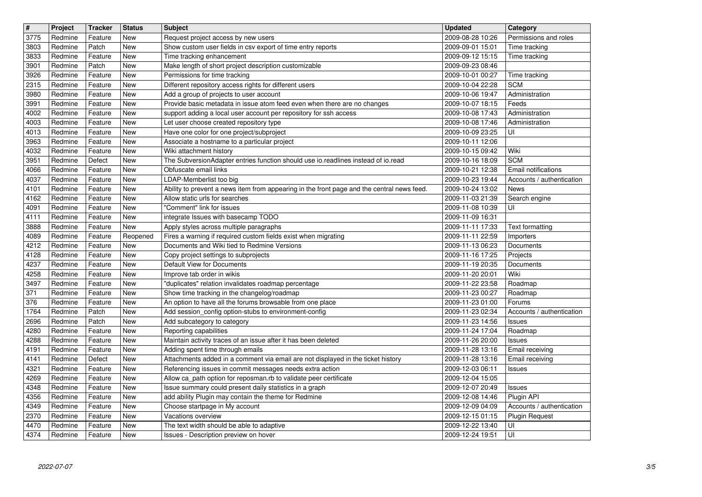| $\overline{\mathbf{H}}$ | Project            | <b>Tracker</b>     | <b>Status</b>                    | <b>Subject</b>                                                                                                                                | <b>Updated</b>                       | Category                               |
|-------------------------|--------------------|--------------------|----------------------------------|-----------------------------------------------------------------------------------------------------------------------------------------------|--------------------------------------|----------------------------------------|
| 3775<br>3803            | Redmine<br>Redmine | Feature<br>Patch   | <b>New</b><br><b>New</b>         | Request project access by new users<br>Show custom user fields in csv export of time entry reports                                            | 2009-08-28 10:26<br>2009-09-01 15:01 | Permissions and roles<br>Time tracking |
| 3833                    | Redmine            | Feature            | New                              | Time tracking enhancement                                                                                                                     | 2009-09-12 15:15                     | Time tracking                          |
| 3901                    | Redmine            | Patch              | New                              | Make length of short project description customizable                                                                                         | 2009-09-23 08:46                     |                                        |
| 3926<br>2315            | Redmine<br>Redmine | Feature<br>Feature | New<br>New                       | Permissions for time tracking<br>Different repository access rights for different users                                                       | 2009-10-01 00:27<br>2009-10-04 22:28 | Time tracking<br><b>SCM</b>            |
| 3980                    | Redmine            | Feature            | New                              | Add a group of projects to user account                                                                                                       | 2009-10-06 19:47                     | Administration                         |
| 3991<br>4002            | Redmine<br>Redmine | Feature<br>Feature | New<br>New                       | Provide basic metadata in issue atom feed even when there are no changes<br>support adding a local user account per repository for ssh access | 2009-10-07 18:15<br>2009-10-08 17:43 | Feeds<br>Administration                |
| 4003                    | Redmine            | Feature            | <b>New</b>                       | Let user choose created repository type                                                                                                       | 2009-10-08 17:46                     | Administration                         |
| 4013                    | Redmine            | Feature            | New                              | Have one color for one project/subproject                                                                                                     | 2009-10-09 23:25                     | UI                                     |
| 3963<br>4032            | Redmine<br>Redmine | Feature<br>Feature | New<br>New                       | Associate a hostname to a particular project<br>Wiki attachment history                                                                       | 2009-10-11 12:06<br>2009-10-15 09:42 | Wiki                                   |
| 3951                    | Redmine            | Defect             | New                              | The SubversionAdapter entries function should use io.readlines instead of io.read                                                             | 2009-10-16 18:09                     | <b>SCM</b>                             |
| 4066                    | Redmine            | Feature            | New                              | Obfuscate email links                                                                                                                         | 2009-10-21 12:38                     | Email notifications                    |
| 4037<br>4101            | Redmine<br>Redmine | Feature<br>Feature | New<br>New                       | LDAP-Memberlist too big<br>Ability to prevent a news item from appearing in the front page and the central news feed.                         | 2009-10-23 19:44<br>2009-10-24 13:02 | Accounts / authentication<br>News      |
| 4162                    | Redmine            | Feature            | New                              | Allow static urls for searches                                                                                                                | 2009-11-03 21:39                     | Search engine                          |
| 4091                    | Redmine            | Feature            | <b>New</b>                       | "Comment" link for issues                                                                                                                     | 2009-11-08 10:39                     | UI                                     |
| 4111<br>3888            | Redmine<br>Redmine | Feature<br>Feature | New<br><b>New</b>                | integrate Issues with basecamp TODO<br>Apply styles across multiple paragraphs                                                                | 2009-11-09 16:31<br>2009-11-11 17:33 | <b>Text formatting</b>                 |
| 4089                    | Redmine            | Feature            | Reopened                         | Fires a warning if required custom fields exist when migrating                                                                                | 2009-11-11 22:59                     | Importers                              |
| 4212<br>4128            | Redmine<br>Redmine | Feature<br>Feature | New<br>New                       | Documents and Wiki tied to Redmine Versions<br>Copy project settings to subprojects                                                           | 2009-11-13 06:23<br>2009-11-16 17:25 | Documents<br>Projects                  |
| 4237                    | Redmine            | Feature            | New                              | Default View for Documents                                                                                                                    | 2009-11-19 20:35                     | Documents                              |
| 4258                    | Redmine            | Feature            | New                              | Improve tab order in wikis                                                                                                                    | 2009-11-20 20:01                     | Wiki                                   |
| 3497<br>371             | Redmine<br>Redmine | Feature<br>Feature | New<br>New                       | "duplicates" relation invalidates roadmap percentage<br>Show time tracking in the changelog/roadmap                                           | 2009-11-22 23:58<br>2009-11-23 00:27 | Roadmap<br>Roadmap                     |
| 376                     | Redmine            | Feature            | New                              | An option to have all the forums browsable from one place                                                                                     | 2009-11-23 01:00                     | Forums                                 |
| 1764<br>2696            | Redmine<br>Redmine | Patch<br>Patch     | New<br>New                       | Add session_config option-stubs to environment-config<br>Add subcategory to category                                                          | 2009-11-23 02:34<br>2009-11-23 14:56 | Accounts / authentication<br>Issues    |
| 4280                    | Redmine            | Feature            | New                              | Reporting capabilities                                                                                                                        | 2009-11-24 17:04                     | Roadmap                                |
| 4288                    | Redmine            | Feature            | New                              | Maintain activity traces of an issue after it has been deleted                                                                                | 2009-11-26 20:00                     | Issues                                 |
| 4191<br>4141            | Redmine<br>Redmine | Feature<br>Defect  | New<br>New                       | Adding spent time through emails<br>Attachments added in a comment via email are not displayed in the ticket history                          | 2009-11-28 13:16<br>2009-11-28 13:16 | Email receiving<br>Email receiving     |
| 4321                    | Redmine            | Feature            | New                              | Referencing issues in commit messages needs extra action                                                                                      | 2009-12-03 06:11                     | Issues                                 |
| 4269                    | Redmine            | Feature            | <b>New</b>                       | Allow ca_path option for reposman.rb to validate peer certificate                                                                             | 2009-12-04 15:05                     |                                        |
| 4348<br>4356            | Redmine<br>Redmine | Feature<br>Feature | New<br>$\overline{\mathsf{New}}$ | Issue summary could present daily statistics in a graph<br>add ability Plugin may contain the theme for Redmine                               | 2009-12-07 20:49<br>2009-12-08 14:46 | <b>Issues</b><br>Plugin API            |
| 4349                    | Redmine            | Feature            | New                              | Choose startpage in My account                                                                                                                | 2009-12-09 04:09                     | Accounts / authentication              |
| 2370                    | Redmine            | Feature            | New                              | Vacations overview<br>The text width should be able to adaptive                                                                               | 2009-12-15 01:15                     | Plugin Request<br>UI                   |
| 4470<br>4374            | Redmine<br>Redmine | Feature<br>Feature | New<br>New                       | Issues - Description preview on hover                                                                                                         | 2009-12-22 13:40<br>2009-12-24 19:51 | UI                                     |
|                         |                    |                    |                                  |                                                                                                                                               |                                      |                                        |
|                         |                    |                    |                                  |                                                                                                                                               |                                      |                                        |
|                         |                    |                    |                                  |                                                                                                                                               |                                      |                                        |
|                         |                    |                    |                                  |                                                                                                                                               |                                      |                                        |
|                         |                    |                    |                                  |                                                                                                                                               |                                      |                                        |
|                         |                    |                    |                                  |                                                                                                                                               |                                      |                                        |
|                         |                    |                    |                                  |                                                                                                                                               |                                      |                                        |
|                         |                    |                    |                                  |                                                                                                                                               |                                      |                                        |
|                         |                    |                    |                                  |                                                                                                                                               |                                      |                                        |
|                         |                    |                    |                                  |                                                                                                                                               |                                      |                                        |
|                         |                    |                    |                                  |                                                                                                                                               |                                      |                                        |
|                         |                    |                    |                                  |                                                                                                                                               |                                      |                                        |
|                         |                    |                    |                                  |                                                                                                                                               |                                      |                                        |
|                         |                    |                    |                                  |                                                                                                                                               |                                      |                                        |
|                         |                    |                    |                                  |                                                                                                                                               |                                      |                                        |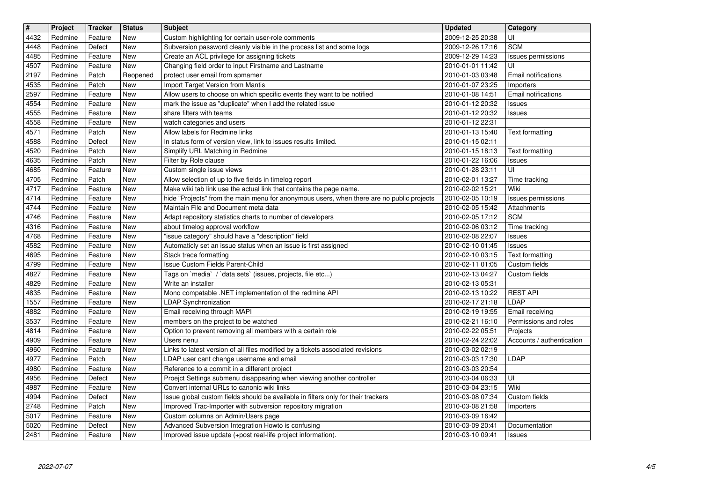| $\overline{\mathbf{H}}$ | Project            | <b>Tracker</b>     | <b>Status</b>            | <b>Subject</b>                                                                                                              | <b>Updated</b>                       | Category                  |
|-------------------------|--------------------|--------------------|--------------------------|-----------------------------------------------------------------------------------------------------------------------------|--------------------------------------|---------------------------|
| 4432                    | Redmine            | Feature            | New                      | Custom highlighting for certain user-role comments                                                                          | 2009-12-25 20:38                     | UI                        |
| 4448<br>4485            | Redmine<br>Redmine | Defect<br>Feature  | <b>New</b><br><b>New</b> | Subversion password cleanly visible in the process list and some logs<br>Create an ACL privilege for assigning tickets      | 2009-12-26 17:16<br>2009-12-29 14:23 | <b>SCM</b>                |
| 4507                    | Redmine            | Feature            | <b>New</b>               | Changing field order to input Firstname and Lastname                                                                        | 2010-01-01 11:42                     | Issues permissions<br>UI  |
| 2197                    | Redmine            | Patch              | Reopened                 | protect user email from spmamer                                                                                             | 2010-01-03 03:48                     | Email notifications       |
| 4535                    | Redmine            | Patch              | New                      | Import Target Version from Mantis                                                                                           | 2010-01-07 23:25                     | Importers                 |
| 2597                    | Redmine            | Feature            | New                      | Allow users to choose on which specific events they want to be notified                                                     | 2010-01-08 14:51                     | Email notifications       |
| 4554                    | Redmine            | Feature            | New                      | mark the issue as "duplicate" when I add the related issue                                                                  | 2010-01-12 20:32                     | Issues                    |
| 4555<br>4558            | Redmine<br>Redmine | Feature<br>Feature | <b>New</b><br><b>New</b> | share filters with teams<br>watch categories and users                                                                      | 2010-01-12 20:32<br>2010-01-12 22:31 | <b>Issues</b>             |
| 4571                    | Redmine            | Patch              | <b>New</b>               | Allow labels for Redmine links                                                                                              | 2010-01-13 15:40                     | Text formatting           |
| 4588                    | Redmine            | Defect             | <b>New</b>               | In status form of version view, link to issues results limited.                                                             | 2010-01-15 02:11                     |                           |
| 4520                    | Redmine            | Patch              | <b>New</b>               | Simplify URL Matching in Redmine                                                                                            | 2010-01-15 18:13                     | Text formatting           |
| 4635                    | Redmine            | Patch              | New                      | Filter by Role clause                                                                                                       | 2010-01-22 16:06                     | <b>Issues</b>             |
| 4685<br>4705            | Redmine<br>Redmine | Feature<br>Patch   | New<br>New               | Custom single issue views<br>Allow selection of up to five fields in timelog report                                         | 2010-01-28 23:11<br>2010-02-01 13:27 | UI<br>Time tracking       |
| 4717                    | Redmine            | Feature            | New                      | Make wiki tab link use the actual link that contains the page name.                                                         | 2010-02-02 15:21                     | Wiki                      |
| 4714                    | Redmine            | Feature            | <b>New</b>               | hide "Projects" from the main menu for anonymous users, when there are no public projects                                   | 2010-02-05 10:19                     | Issues permissions        |
| 4744                    | Redmine            | Feature            | <b>New</b>               | Maintain File and Document meta data                                                                                        | 2010-02-05 15:42                     | Attachments               |
| 4746                    | Redmine            | Feature            | <b>New</b>               | Adapt repository statistics charts to number of developers                                                                  | 2010-02-05 17:12                     | <b>SCM</b>                |
| 4316                    | Redmine<br>Redmine | Feature<br>Feature | <b>New</b><br>New        | about timelog approval workflow<br>'issue category" should have a "description" field                                       | 2010-02-06 03:12<br>2010-02-08 22:07 | Time tracking             |
| 4768<br>4582            | Redmine            | Feature            | New                      | Automaticly set an issue status when an issue is first assigned                                                             | 2010-02-10 01:45                     | Issues<br>Issues          |
| 4695                    | Redmine            | Feature            | New                      | Stack trace formatting                                                                                                      | 2010-02-10 03:15                     | Text formatting           |
| 4799                    | Redmine            | Feature            | New                      | Issue Custom Fields Parent-Child                                                                                            | 2010-02-11 01:05                     | Custom fields             |
| 4827                    | Redmine            | Feature            | <b>New</b>               | Tags on `media` / `data sets` (issues, projects, file etc)                                                                  | 2010-02-13 04:27                     | Custom fields             |
| 4829<br>4835            | Redmine<br>Redmine | Feature<br>Feature | <b>New</b><br><b>New</b> | Write an installer                                                                                                          | 2010-02-13 05:31                     | <b>REST API</b>           |
| 1557                    | Redmine            | Feature            | <b>New</b>               | Mono compatable .NET implementation of the redmine API<br>LDAP Synchronization                                              | 2010-02-13 10:22<br>2010-02-17 21:18 | <b>LDAP</b>               |
| 4882                    | Redmine            | Feature            | <b>New</b>               | Email receiving through MAPI                                                                                                | 2010-02-19 19:55                     | Email receiving           |
| 3537                    | Redmine            | Feature            | New                      | members on the project to be watched                                                                                        | 2010-02-21 16:10                     | Permissions and roles     |
| 4814                    | Redmine            | Feature            | <b>New</b>               | Option to prevent removing all members with a certain role                                                                  | 2010-02-22 05:51                     | Projects                  |
| 4909                    | Redmine            | Feature            | <b>New</b>               | Users nenu                                                                                                                  | 2010-02-24 22:02                     | Accounts / authentication |
| 4960<br>4977            | Redmine<br>Redmine | Feature<br>Patch   | <b>New</b><br><b>New</b> | Links to latest version of all files modified by a tickets associated revisions<br>LDAP user cant change username and email | 2010-03-02 02:19<br>2010-03-03 17:30 | LDAP                      |
| 4980                    | Redmine            | Feature            | <b>New</b>               | Reference to a commit in a different project                                                                                | 2010-03-03 20:54                     |                           |
| 4956                    | Redmine            | Defect             | <b>New</b>               | Proejct Settings submenu disappearing when viewing another controller                                                       | 2010-03-04 06:33                     | UI                        |
| 4987                    | Redmine            | Feature            | <b>New</b>               | Convert internal URLs to canonic wiki links                                                                                 | 2010-03-04 23:15                     | Wiki                      |
| 4994                    | Redmine            | Defect             | New                      | Issue global custom fields should be available in filters only for their trackers                                           | 2010-03-08 07:34                     | Custom fields             |
| 2748<br>5017            | Redmine<br>Redmine | Patch<br>Feature   | New<br>New               | Improved Trac-Importer with subversion repository migration                                                                 | 2010-03-08 21:58<br>2010-03-09 16:42 | <b>Importers</b>          |
| 5020                    | Redmine            | Defect             | New                      | Custom columns on Admin/Users page<br>Advanced Subversion Integration Howto is confusing                                    | 2010-03-09 20:41                     | Documentation             |
| 2481                    | Redmine            | Feature            | New                      | Improved issue update (+post real-life project information).                                                                | 2010-03-10 09:41                     | <b>Issues</b>             |
|                         |                    |                    |                          |                                                                                                                             |                                      |                           |
|                         |                    |                    |                          |                                                                                                                             |                                      |                           |
|                         |                    |                    |                          |                                                                                                                             |                                      |                           |
|                         |                    |                    |                          |                                                                                                                             |                                      |                           |
|                         |                    |                    |                          |                                                                                                                             |                                      |                           |
|                         |                    |                    |                          |                                                                                                                             |                                      |                           |
|                         |                    |                    |                          |                                                                                                                             |                                      |                           |
|                         |                    |                    |                          |                                                                                                                             |                                      |                           |
|                         |                    |                    |                          |                                                                                                                             |                                      |                           |
|                         |                    |                    |                          |                                                                                                                             |                                      |                           |
|                         |                    |                    |                          |                                                                                                                             |                                      |                           |
|                         |                    |                    |                          |                                                                                                                             |                                      |                           |
|                         |                    |                    |                          |                                                                                                                             |                                      |                           |